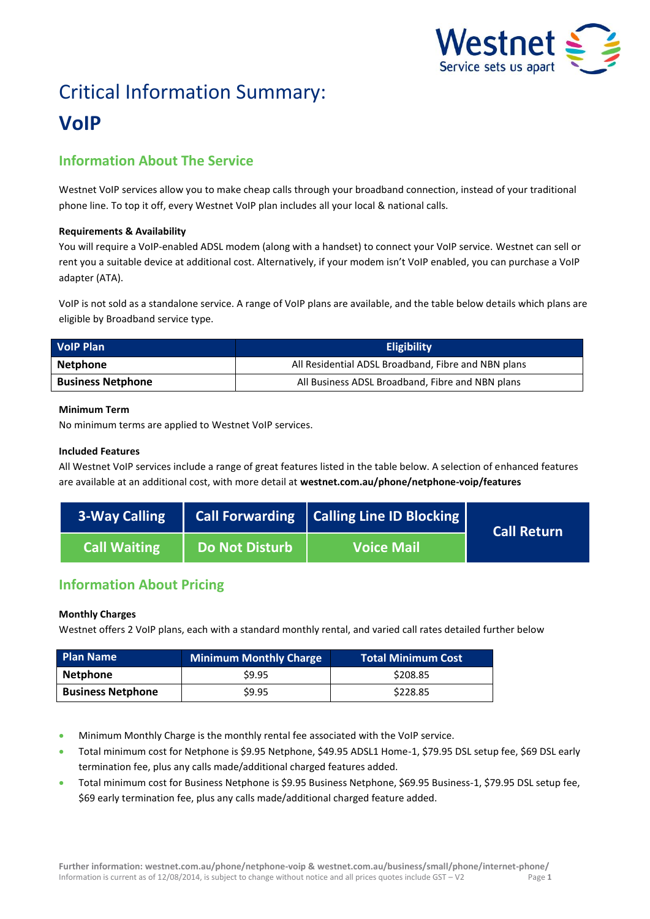

# Critical Information Summary: **VoIP**

# **Information About The Service**

Westnet VoIP services allow you to make cheap calls through your broadband connection, instead of your traditional phone line. To top it off, every Westnet VoIP plan includes all your local & national calls.

## **Requirements & Availability**

You will require a VoIP-enabled ADSL modem (along with a handset) to connect your VoIP service. Westnet can sell or rent you a suitable device at additional cost. Alternatively, if your modem isn't VoIP enabled, you can purchase a VoIP adapter (ATA).

VoIP is not sold as a standalone service. A range of VoIP plans are available, and the table below details which plans are eligible by Broadband service type.

| <b>VolP Plan</b>         | <b>Eligibility</b>                                  |  |  |
|--------------------------|-----------------------------------------------------|--|--|
| Netphone                 | All Residential ADSL Broadband, Fibre and NBN plans |  |  |
| <b>Business Netphone</b> | All Business ADSL Broadband, Fibre and NBN plans    |  |  |

## **Minimum Term**

No minimum terms are applied to Westnet VoIP services.

## **Included Features**

All Westnet VoIP services include a range of great features listed in the table below. A selection of enhanced features are available at an additional cost, with more detail at **[westnet.com.au/phone/netphone-voip/features](file://win2k.iinet.net.au/dfs/group/Customer%20Experience/WebDev/CORP%20TEAMS/Products/CIS%20Sheets/Word%20Templates/iiNet/www.westnet.com.au/phone/netphone-voip/features)**

| <b>3-Way Calling</b> |                       | Call Forwarding   Calling Line ID Blocking | <b>Call Return</b> |
|----------------------|-----------------------|--------------------------------------------|--------------------|
| <b>Call Waiting</b>  | <b>Do Not Disturb</b> | <b>Voice Mail</b>                          |                    |

# **Information About Pricing**

# **Monthly Charges**

Westnet offers 2 VoIP plans, each with a standard monthly rental, and varied call rates detailed further below

| <b>Plan Name</b>         | <b>Minimum Monthly Charge</b> | <b>Total Minimum Cost</b> |
|--------------------------|-------------------------------|---------------------------|
| Netphone                 | \$9.95                        | \$208.85                  |
| <b>Business Netphone</b> | \$9.95                        | \$228.85                  |

- Minimum Monthly Charge is the monthly rental fee associated with the VoIP service.
- Total minimum cost for Netphone is \$9.95 Netphone, \$49.95 ADSL1 Home-1, \$79.95 DSL setup fee, \$69 DSL early termination fee, plus any calls made/additional charged features added.
- Total minimum cost for Business Netphone is \$9.95 Business Netphone, \$69.95 Business-1, \$79.95 DSL setup fee, \$69 early termination fee, plus any calls made/additional charged feature added.